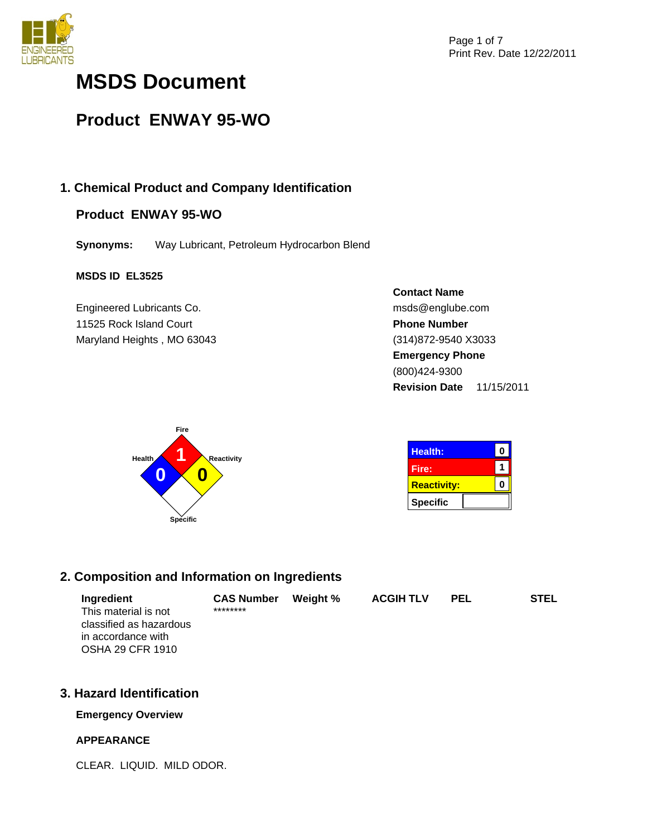

# **MSDS Document**

# **Product ENWAY 95-WO**

# **1. Chemical Product and Company Identification**

# **Product ENWAY 95-WO**

**Synonyms:** Way Lubricant, Petroleum Hydrocarbon Blend

## **MSDS ID EL3525**

Engineered Lubricants Co. 11525 Rock Island Court Maryland Heights , MO 63043





| <b>Health:</b>     |  |
|--------------------|--|
| Fire:              |  |
| <b>Reactivity:</b> |  |
| <b>Specific</b>    |  |

# **2. Composition and Information on Ingredients**

| Ingredient              | <b>CAS Number</b> | Weight % | <b>ACGIH TLV</b> | <b>PEL</b> | <b>STEL</b> |
|-------------------------|-------------------|----------|------------------|------------|-------------|
| This material is not    | ********          |          |                  |            |             |
| classified as hazardous |                   |          |                  |            |             |
| in accordance with      |                   |          |                  |            |             |
| <b>OSHA 29 CFR 1910</b> |                   |          |                  |            |             |

# **3. Hazard Identification**

## **Emergency Overview**

## **APPEARANCE**

CLEAR. LIQUID. MILD ODOR.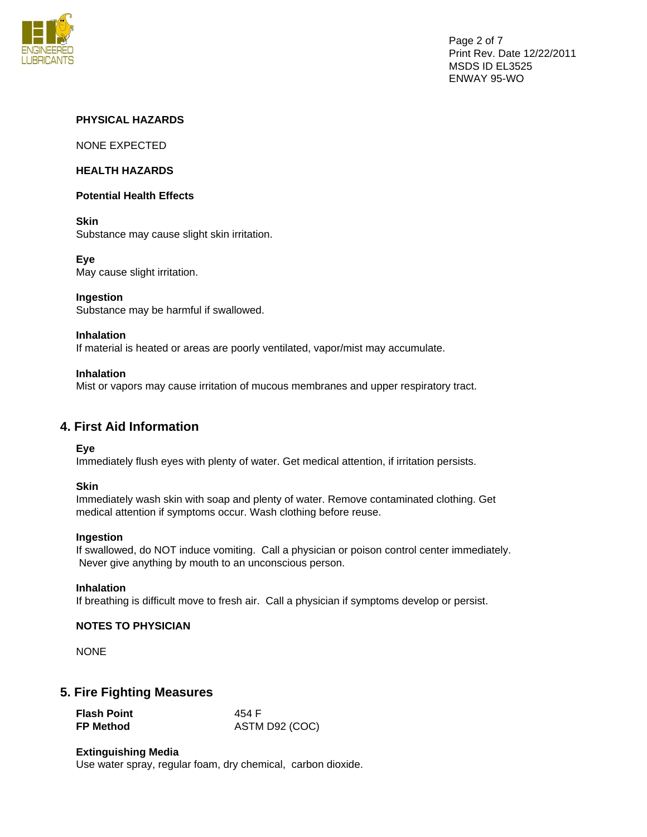

## **PHYSICAL HAZARDS**

NONE EXPECTED

#### **HEALTH HAZARDS**

#### **Potential Health Effects**

## **Skin**

Substance may cause slight skin irritation.

## **Eye**

May cause slight irritation.

## **Ingestion**

Substance may be harmful if swallowed.

#### **Inhalation**

If material is heated or areas are poorly ventilated, vapor/mist may accumulate.

#### **Inhalation**

Mist or vapors may cause irritation of mucous membranes and upper respiratory tract.

# **4. First Aid Information**

**Eye** 

Immediately flush eyes with plenty of water. Get medical attention, if irritation persists.

#### **Skin**

Immediately wash skin with soap and plenty of water. Remove contaminated clothing. Get medical attention if symptoms occur. Wash clothing before reuse.

#### **Ingestion**

If swallowed, do NOT induce vomiting. Call a physician or poison control center immediately. Never give anything by mouth to an unconscious person.

#### **Inhalation**

If breathing is difficult move to fresh air. Call a physician if symptoms develop or persist.

#### **NOTES TO PHYSICIAN**

NONE

## **5. Fire Fighting Measures**

| <b>Flash Point</b> | 454 F          |
|--------------------|----------------|
| <b>FP Method</b>   | ASTM D92 (COC) |

#### **Extinguishing Media**

Use water spray, regular foam, dry chemical, carbon dioxide.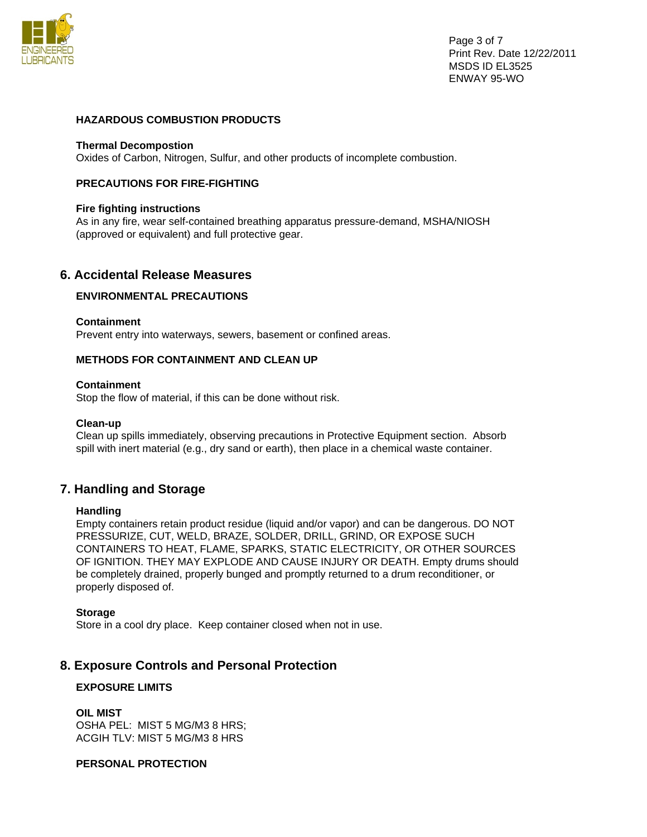

Page 3 of 7 Print Rev. Date 12/22/2011 MSDS ID EL3525 ENWAY 95-WO

## **HAZARDOUS COMBUSTION PRODUCTS**

#### **Thermal Decompostion**

Oxides of Carbon, Nitrogen, Sulfur, and other products of incomplete combustion.

#### **PRECAUTIONS FOR FIRE-FIGHTING**

#### **Fire fighting instructions**

As in any fire, wear self-contained breathing apparatus pressure-demand, MSHA/NIOSH (approved or equivalent) and full protective gear.

## **6. Accidental Release Measures**

## **ENVIRONMENTAL PRECAUTIONS**

#### **Containment**

Prevent entry into waterways, sewers, basement or confined areas.

#### **METHODS FOR CONTAINMENT AND CLEAN UP**

#### **Containment**

Stop the flow of material, if this can be done without risk.

#### **Clean-up**

Clean up spills immediately, observing precautions in Protective Equipment section. Absorb spill with inert material (e.g., dry sand or earth), then place in a chemical waste container.

## **7. Handling and Storage**

#### **Handling**

Empty containers retain product residue (liquid and/or vapor) and can be dangerous. DO NOT PRESSURIZE, CUT, WELD, BRAZE, SOLDER, DRILL, GRIND, OR EXPOSE SUCH CONTAINERS TO HEAT, FLAME, SPARKS, STATIC ELECTRICITY, OR OTHER SOURCES OF IGNITION. THEY MAY EXPLODE AND CAUSE INJURY OR DEATH. Empty drums should be completely drained, properly bunged and promptly returned to a drum reconditioner, or properly disposed of.

#### **Storage**

Store in a cool dry place. Keep container closed when not in use.

# **8. Exposure Controls and Personal Protection**

## **EXPOSURE LIMITS**

**OIL MIST**  OSHA PEL: MIST 5 MG/M3 8 HRS; ACGIH TLV: MIST 5 MG/M3 8 HRS

# **PERSONAL PROTECTION**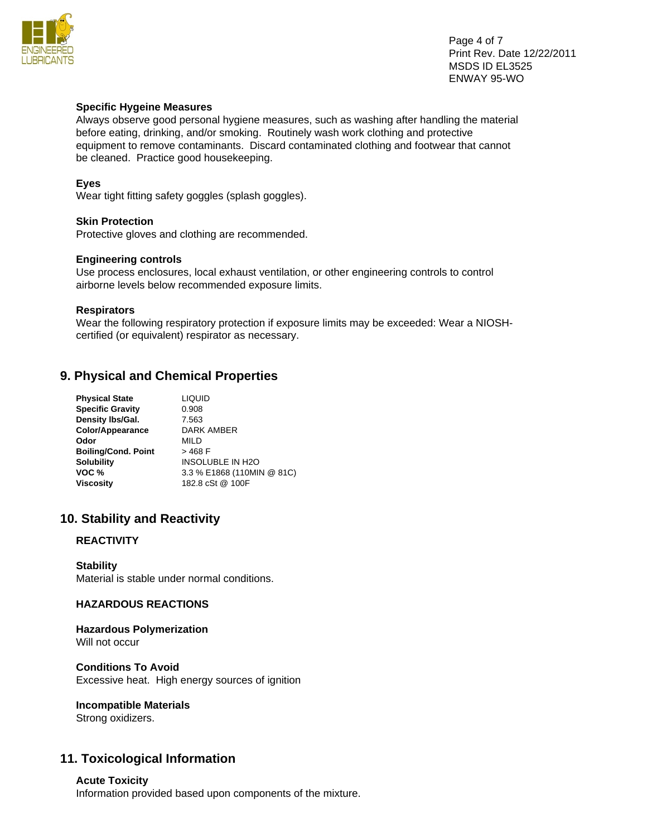

Page 4 of 7 Print Rev. Date 12/22/2011 MSDS ID EL3525 ENWAY 95-WO

#### **Specific Hygeine Measures**

Always observe good personal hygiene measures, such as washing after handling the material before eating, drinking, and/or smoking. Routinely wash work clothing and protective equipment to remove contaminants. Discard contaminated clothing and footwear that cannot be cleaned. Practice good housekeeping.

## **Eyes**

Wear tight fitting safety goggles (splash goggles).

## **Skin Protection**

Protective gloves and clothing are recommended.

#### **Engineering controls**

Use process enclosures, local exhaust ventilation, or other engineering controls to control airborne levels below recommended exposure limits.

#### **Respirators**

Wear the following respiratory protection if exposure limits may be exceeded: Wear a NIOSHcertified (or equivalent) respirator as necessary.

# **9. Physical and Chemical Properties**

| <b>Physical State</b>      | <b>LIQUID</b>              |
|----------------------------|----------------------------|
| <b>Specific Gravity</b>    | 0.908                      |
| Density Ibs/Gal.           | 7.563                      |
| Color/Appearance           | <b>DARK AMBER</b>          |
| Odor                       | MILD                       |
| <b>Boiling/Cond. Point</b> | $>468$ F                   |
| <b>Solubility</b>          | <b>INSOLUBLE IN H2O</b>    |
| VOC <sub>%</sub>           | 3.3 % E1868 (110MIN @ 81C) |
| <b>Viscosity</b>           | 182.8 cSt @ 100F           |
|                            |                            |

# **10. Stability and Reactivity**

## **REACTIVITY**

**Stability**  Material is stable under normal conditions.

## **HAZARDOUS REACTIONS**

#### **Hazardous Polymerization**  Will not occur

**Conditions To Avoid**  Excessive heat. High energy sources of ignition

## **Incompatible Materials**

Strong oxidizers.

# **11. Toxicological Information**

#### **Acute Toxicity**

Information provided based upon components of the mixture.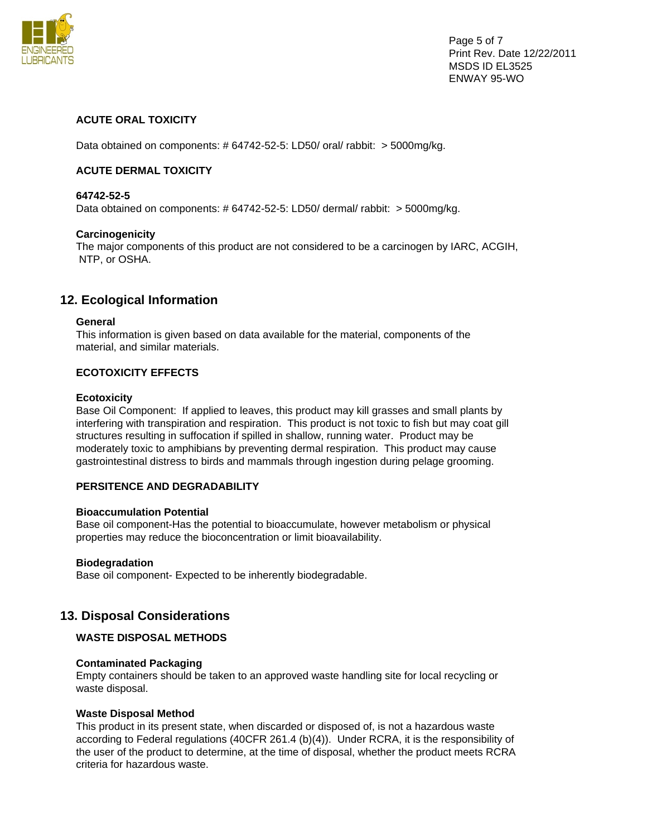

Page 5 of 7 Print Rev. Date 12/22/2011 MSDS ID EL3525 ENWAY 95-WO

## **ACUTE ORAL TOXICITY**

Data obtained on components: # 64742-52-5: LD50/ oral/ rabbit: > 5000mg/kg.

## **ACUTE DERMAL TOXICITY**

#### **64742-52-5**

Data obtained on components: # 64742-52-5: LD50/ dermal/ rabbit: > 5000mg/kg.

#### **Carcinogenicity**

The major components of this product are not considered to be a carcinogen by IARC, ACGIH, NTP, or OSHA.

# **12. Ecological Information**

## **General**

This information is given based on data available for the material, components of the material, and similar materials.

## **ECOTOXICITY EFFECTS**

#### **Ecotoxicity**

Base Oil Component: If applied to leaves, this product may kill grasses and small plants by interfering with transpiration and respiration. This product is not toxic to fish but may coat gill structures resulting in suffocation if spilled in shallow, running water. Product may be moderately toxic to amphibians by preventing dermal respiration. This product may cause gastrointestinal distress to birds and mammals through ingestion during pelage grooming.

## **PERSITENCE AND DEGRADABILITY**

#### **Bioaccumulation Potential**

Base oil component-Has the potential to bioaccumulate, however metabolism or physical properties may reduce the bioconcentration or limit bioavailability.

#### **Biodegradation**

Base oil component- Expected to be inherently biodegradable.

# **13. Disposal Considerations**

## **WASTE DISPOSAL METHODS**

#### **Contaminated Packaging**

Empty containers should be taken to an approved waste handling site for local recycling or waste disposal.

#### **Waste Disposal Method**

This product in its present state, when discarded or disposed of, is not a hazardous waste according to Federal regulations (40CFR 261.4 (b)(4)). Under RCRA, it is the responsibility of the user of the product to determine, at the time of disposal, whether the product meets RCRA criteria for hazardous waste.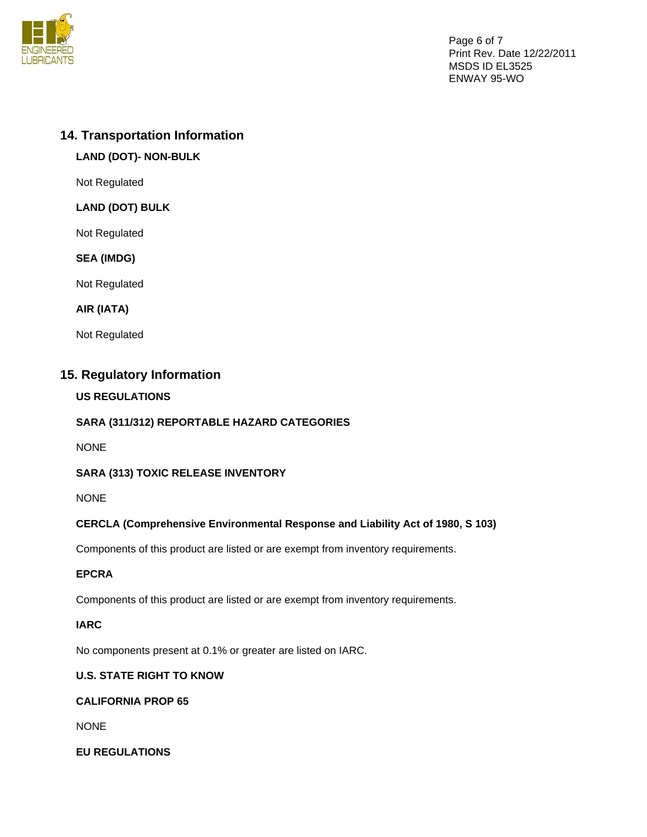

Page 6 of 7 Print Rev. Date 12/22/2011 MSDS ID EL3525 ENWAY 95-WO

# **14. Transportation Information**

# **LAND (DOT)- NON-BULK**

Not Regulated

# **LAND (DOT) BULK**

Not Regulated

## **SEA (IMDG)**

Not Regulated

## **AIR (IATA)**

Not Regulated

# **15. Regulatory Information**

# **US REGULATIONS**

# **SARA (311/312) REPORTABLE HAZARD CATEGORIES**

NONE

# **SARA (313) TOXIC RELEASE INVENTORY**

NONE

# **CERCLA (Comprehensive Environmental Response and Liability Act of 1980, S 103)**

Components of this product are listed or are exempt from inventory requirements.

## **EPCRA**

Components of this product are listed or are exempt from inventory requirements.

## **IARC**

No components present at 0.1% or greater are listed on IARC.

# **U.S. STATE RIGHT TO KNOW**

# **CALIFORNIA PROP 65**

NONE

## **EU REGULATIONS**